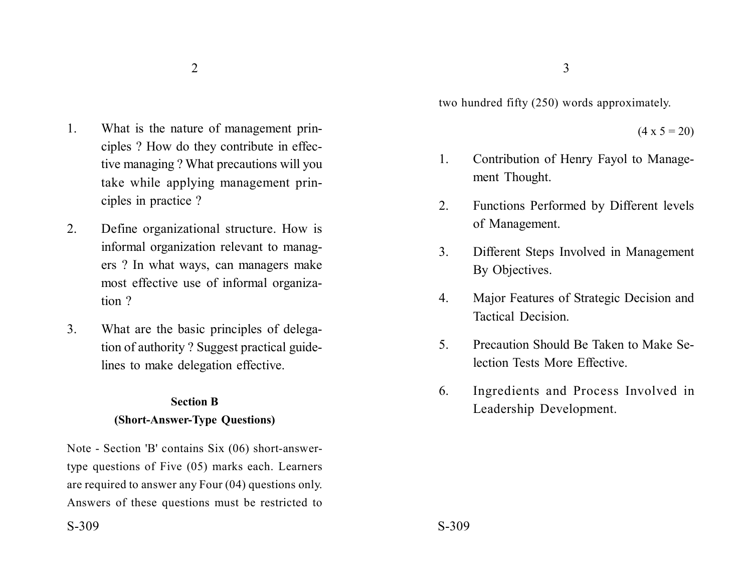$2\overline{3}$ 

- 1. What is the nature of management principles ? How do they contribute in effective managing ? What precautions will you take while applying management principles in practice ?
- 2. Define organizational structure. How is informal organization relevant to managers ? In what ways, can managers make most effective use of informal organization ?
- 3. What are the basic principles of delegation of authority ? Suggest practical guidelines to make delegation effective.

# **Section B**

## **(Short-Answer-Type Questions)**

Note - Section 'B' contains Six (06) short-answertype questions of Five (05) marks each. Learners are required to answer any Four (04) questions only. Answers of these questions must be restricted to two hundred fifty (250) words approximately.

 $(4 \times 5 = 20)$ 

- 1. Contribution of Henry Fayol to Management Thought.
- 2. Functions Performed by Different levels of Management.
- 3. Different Steps Involved in Management By Objectives.
- 4. Major Features of Strategic Decision and Tactical Decision.
- 5. Precaution Should Be Taken to Make Selection Tests More Effective.
- 6. Ingredients and Process Involved in Leadership Development.

 $S-309$   $S-309$